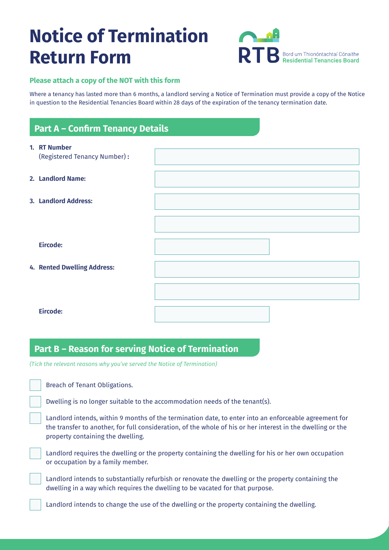# **Notice of Termination Return Form**



### **Please attach a copy of the NOT with this form**

Where a tenancy has lasted more than 6 months, a landlord serving a Notice of Termination must provide a copy of the Notice in question to the Residential Tenancies Board within 28 days of the expiration of the tenancy termination date.

## **Part A – Confirm Tenancy Details**

| 1. RT Number<br>(Registered Tenancy Number): |  |
|----------------------------------------------|--|
| 2. Landlord Name:                            |  |
| 3. Landlord Address:                         |  |
|                                              |  |
| Eircode:                                     |  |
| 4. Rented Dwelling Address:                  |  |
|                                              |  |
| Eircode:                                     |  |

### **Part B – Reason for serving Notice of Termination**

*(Tick the relevant reasons why you've served the Notice of Termination)*

Breach of Tenant Obligations.

Dwelling is no longer suitable to the accommodation needs of the tenant(s).

Landlord intends, within 9 months of the termination date, to enter into an enforceable agreement for the transfer to another, for full consideration, of the whole of his or her interest in the dwelling or the property containing the dwelling.

Landlord requires the dwelling or the property containing the dwelling for his or her own occupation or occupation by a family member.

Landlord intends to substantially refurbish or renovate the dwelling or the property containing the dwelling in a way which requires the dwelling to be vacated for that purpose.

Landlord intends to change the use of the dwelling or the property containing the dwelling.